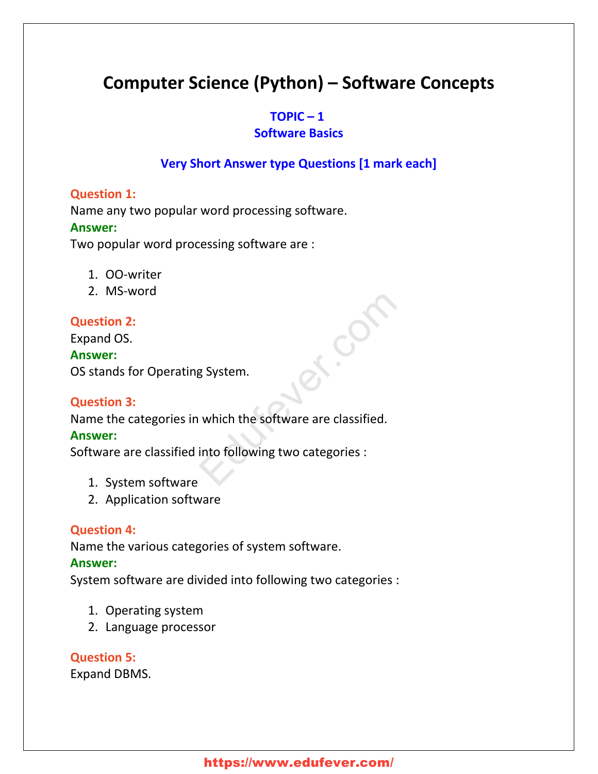# **Computer Science (Python) – Software Concepts**

### $TOPIC - 1$

### **Software Basics**

# **Very Short Answer type Questions [1 mark each]**

#### **Question 1:**

Name any two popular word processing software.

#### **Answer:**

Two popular word processing software are :

- 1. OO-writer
- 2. MS-word

# **Question 2:**

Expand OS. **Answer:** OS stands for Operating System.

#### **Question 3:**

Name the categories in which the software are classified. Examples System.<br>
Which the software are classified.<br>
into following two categories :

#### **Answer:**

Software are classified into following two categories :

- 1. System software
- 2. Application software

# **Question 4:**

Name the various categories of system software.

#### **Answer:**

System software are divided into following two categories :

- 1. Operating system
- 2. Language processor

# **Question 5:**

Expand DBMS.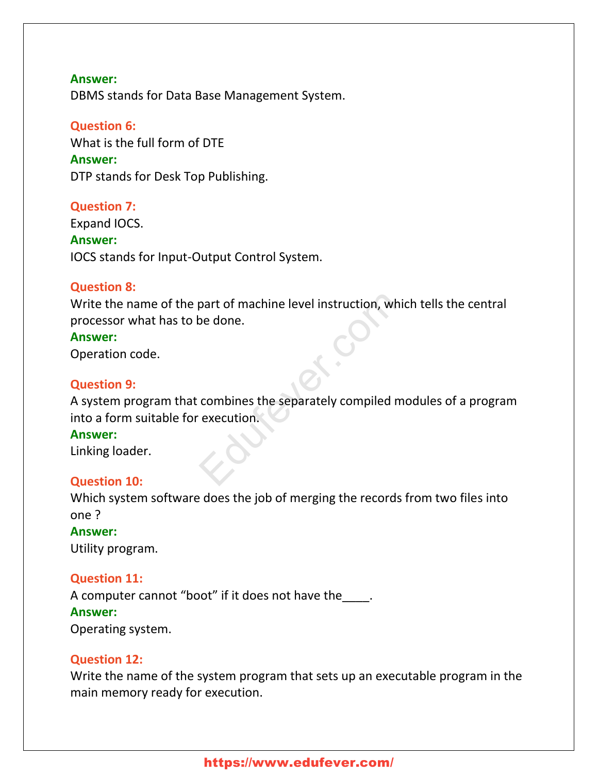DBMS stands for Data Base Management System.

#### **Question 6:**

What is the full form of DTE

#### **Answer:**

DTP stands for Desk Top Publishing.

#### **Question 7:**

Expand IOCS. **Answer:** IOCS stands for Input-Output Control System.

#### **Question 8:**

Write the name of the part of machine level instruction, which tells the central processor what has to be done.

#### **Answer:**

Operation code.

#### **Question 9:**

A system program that combines the separately compiled modules of a program into a form suitable for execution. part of machine level instruction, which<br>be done.

#### **Answer:**

Linking loader.

#### **Question 10:**

Which system software does the job of merging the records from two files into one ?

# **Answer:**

Utility program.

#### **Question 11:**

A computer cannot "boot" if it does not have the

#### **Answer:**

Operating system.

#### **Question 12:**

Write the name of the system program that sets up an executable program in the main memory ready for execution.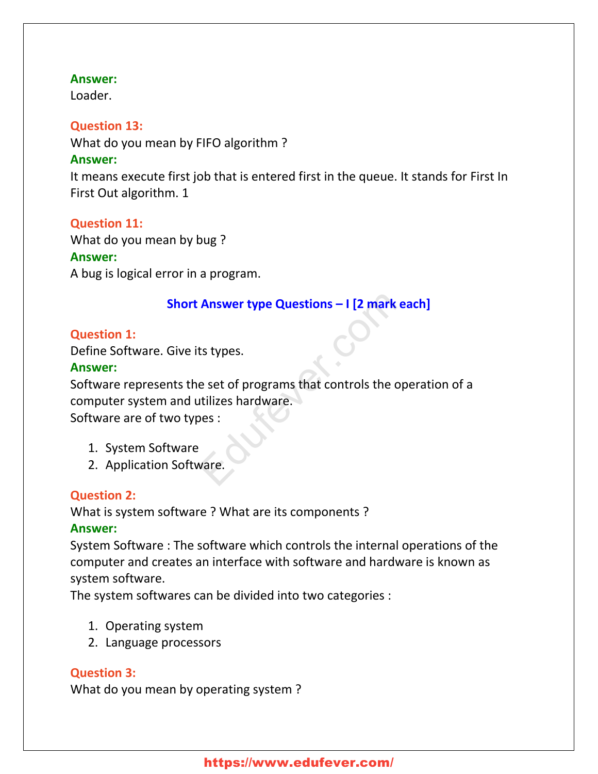Loader.

# **Question 13:**

What do you mean by FIFO algorithm ?

# **Answer:**

It means execute first job that is entered first in the queue. It stands for First In First Out algorithm. 1

# **Question 11:**

What do you mean by bug ?

# **Answer:**

A bug is logical error in a program.

# **Short Answer type Questions – I [2 mark each]**

# **Question 1:**

Define Software. Give its types.

# **Answer:**

Software represents the set of programs that controls the operation of a computer system and utilizes hardware. Software are of two types : Answer type Questions - I [2 mark eats types.<br>
Exprese.<br>
Expreses.<br>
Expreses that controls the operatilizes hardware.<br>
Note:<br>
Note:<br>
Note:

- 1. System Software
- 2. Application Software.

# **Question 2:**

What is system software ? What are its components ?

# **Answer:**

System Software : The software which controls the internal operations of the computer and creates an interface with software and hardware is known as system software.

The system softwares can be divided into two categories :

- 1. Operating system
- 2. Language processors

# **Question 3:**

What do you mean by operating system ?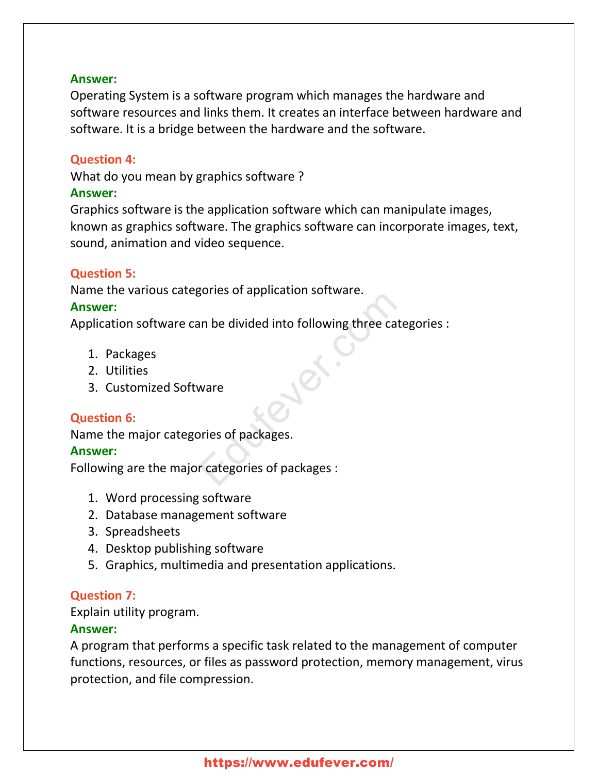Operating System is a software program which manages the hardware and software resources and links them. It creates an interface between hardware and software. It is a bridge between the hardware and the software.

# **Question 4:**

What do you mean by graphics software ?

### **Answer:**

Graphics software is the application software which can manipulate images, known as graphics software. The graphics software can incorporate images, text, sound, animation and video sequence.

# **Question 5:**

Name the various categories of application software.

# **Answer:**

Application software can be divided into following three categories : sones or application software.<br>
In be divided into following three cates<br>
ware<br>
pries of packages.<br>
r categories of packages :

- 1. Packages
- 2. Utilities
- 3. Customized Software

# **Question 6:**

Name the major categories of packages.

# **Answer:**

Following are the major categories of packages :

- 1. Word processing software
- 2. Database management software
- 3. Spreadsheets
- 4. Desktop publishing software
- 5. Graphics, multimedia and presentation applications.

# **Question 7:**

Explain utility program.

# **Answer:**

A program that performs a specific task related to the management of computer functions, resources, or files as password protection, memory management, virus protection, and file compression.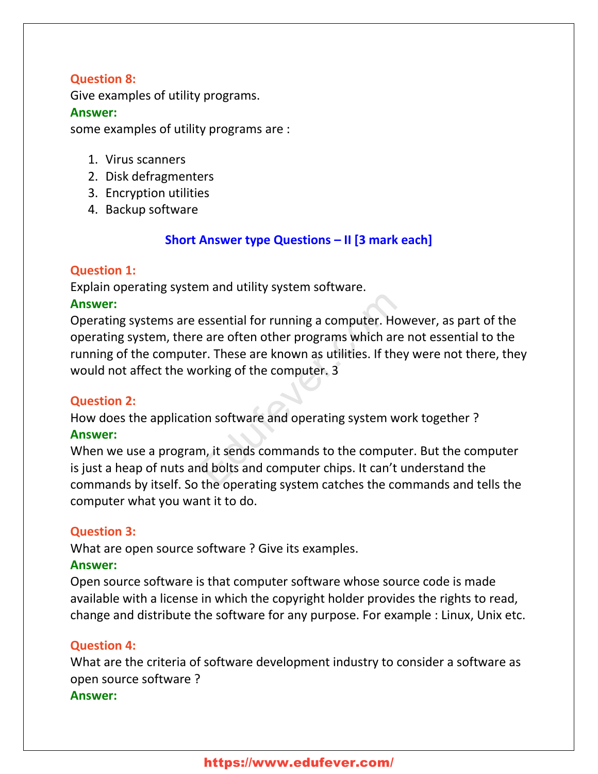# **Question 8:**

Give examples of utility programs.

#### **Answer:**

some examples of utility programs are :

- 1. Virus scanners
- 2. Disk defragmenters
- 3. Encryption utilities
- 4. Backup software

# **Short Answer type Questions – II [3 mark each]**

### **Question 1:**

Explain operating system and utility system software.

### **Answer:**

Operating systems are essential for running a computer. However, as part of the operating system, there are often other programs which are not essential to the running of the computer. These are known as utilities. If they were not there, they would not affect the working of the computer. 3 essential for running a computer. How<br>e are often other programs which are r<br>er. These are known as utilities. If they<br>orking of the computer. 3<br>on software and operating system wor<br>m, it sends commands to the computer<br>of

# **Question 2:**

How does the application software and operating system work together ? **Answer:**

When we use a program, it sends commands to the computer. But the computer is just a heap of nuts and bolts and computer chips. It can't understand the commands by itself. So the operating system catches the commands and tells the computer what you want it to do.

# **Question 3:**

What are open source software ? Give its examples.

# **Answer:**

Open source software is that computer software whose source code is made available with a license in which the copyright holder provides the rights to read, change and distribute the software for any purpose. For example : Linux, Unix etc.

# **Question 4:**

What are the criteria of software development industry to consider a software as open source software ?

# **Answer:**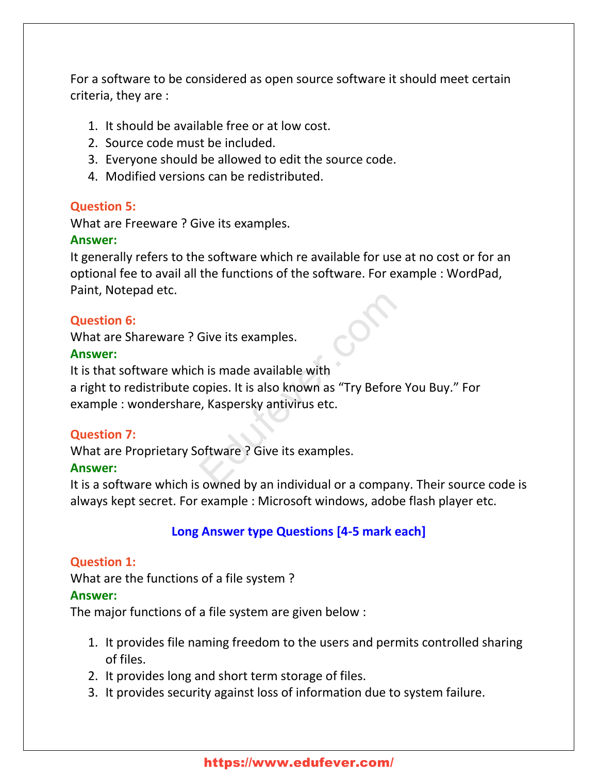For a software to be considered as open source software it should meet certain criteria, they are :

- 1. It should be available free or at low cost.
- 2. Source code must be included.
- 3. Everyone should be allowed to edit the source code.
- 4. Modified versions can be redistributed.

### **Question 5:**

What are Freeware ? Give its examples.

### **Answer:**

It generally refers to the software which re available for use at no cost or for an optional fee to avail all the functions of the software. For example : WordPad, Paint, Notepad etc.

### **Question 6:**

What are Shareware ? Give its examples.

### **Answer:**

It is that software which is made available with

a right to redistribute copies. It is also known as "Try Before You Buy." For example : wondershare, Kaspersky antivirus etc. Give its examples.<br>
h is made available with<br>
opies. It is also known as "Try Before Y<br>
e, Kaspersky antivirus etc.<br>
oftware ? Give its examples.<br>
sowned by an individual or a company.

# **Question 7:**

What are Proprietary Software ? Give its examples.

### **Answer:**

It is a software which is owned by an individual or a company. Their source code is always kept secret. For example : Microsoft windows, adobe flash player etc.

# **Long Answer type Questions [4-5 mark each]**

# **Question 1:**

What are the functions of a file system ?

#### **Answer:**

The major functions of a file system are given below :

- 1. It provides file naming freedom to the users and permits controlled sharing of files.
- 2. It provides long and short term storage of files.
- 3. It provides security against loss of information due to system failure.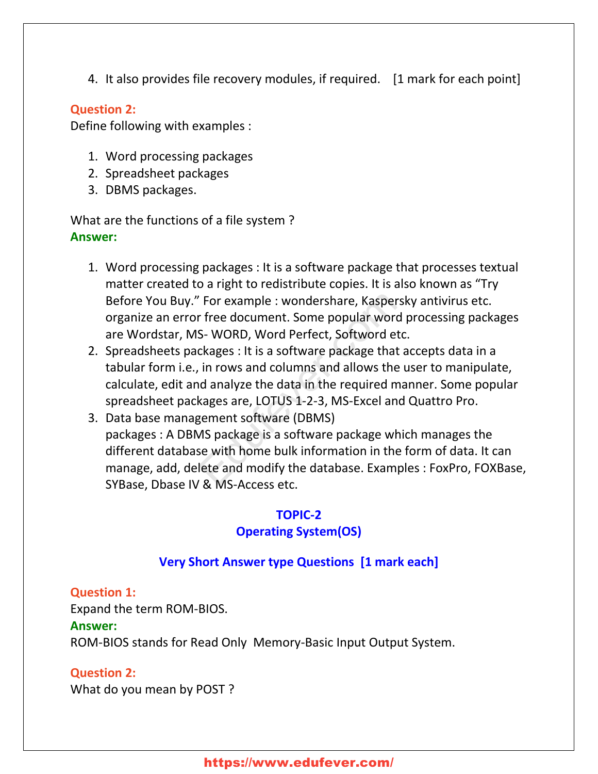4. It also provides file recovery modules, if required. [1 mark for each point]

### **Question 2:**

Define following with examples :

- 1. Word processing packages
- 2. Spreadsheet packages
- 3. DBMS packages.

What are the functions of a file system ? **Answer:**

- 1. Word processing packages : It is a software package that processes textual matter created to a right to redistribute copies. It is also known as "Try Before You Buy." For example : wondershare, Kaspersky antivirus etc. organize an error free document. Some popular word processing packages are Wordstar, MS- WORD, Word Perfect, Softword etc.
- 2. Spreadsheets packages : It is a software package that accepts data in a tabular form i.e., in rows and columns and allows the user to manipulate, calculate, edit and analyze the data in the required manner. Some popular spreadsheet packages are, LOTUS 1-2-3, MS-Excel and Quattro Pro.
- 3. Data base management software (DBMS) packages : A DBMS package is a software package which manages the different database with home bulk information in the form of data. It can manage, add, delete and modify the database. Examples : FoxPro, FOXBase, SYBase, Dbase IV & MS-Access etc. For example : wondershare, Kaspersk<br>
Free document. Some popular word p<br>
S- WORD, Word Perfect, Softword etc.<br>
ckages : It is a software package that a<br>
in rows and columns and allows the u<br>
d analyze the data in the requi

#### **TOPIC-2**

# **Operating System(OS)**

# **Very Short Answer type Questions [1 mark each]**

#### **Question 1:**

Expand the term ROM-BIOS.

#### **Answer:**

ROM-BIOS stands for Read Only Memory-Basic Input Output System.

# **Question 2:**

What do you mean by POST ?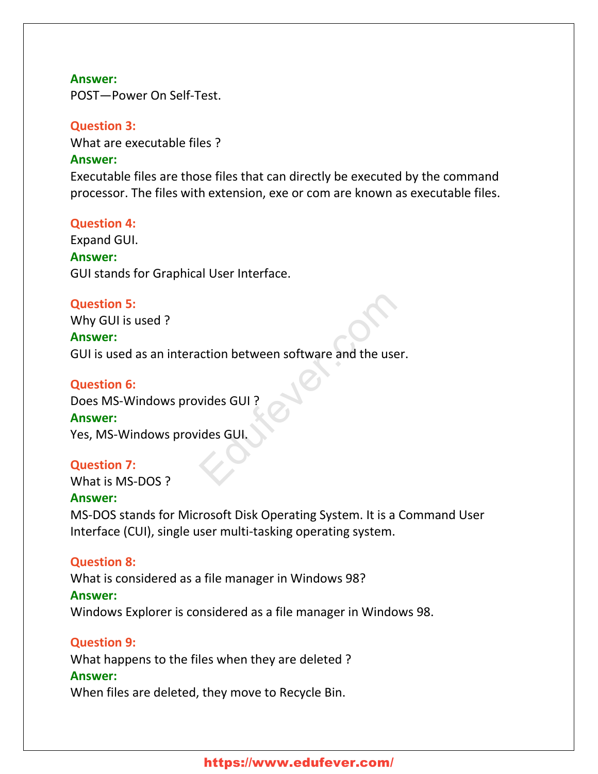POST—Power On Self-Test.

#### **Question 3:**

What are executable files ?

#### **Answer:**

Executable files are those files that can directly be executed by the command processor. The files with extension, exe or com are known as executable files.

#### **Question 4:**

Expand GUI.

#### **Answer:**

GUI stands for Graphical User Interface.

#### **Question 5:**

Why GUI is used ?

#### **Answer:**

GUI is used as an interaction between software and the user. Action between software and the user.<br>And the user.<br>Education of the set of the set of the set of the set of the set of the set of the set of the set of the set of the set of the set of the set of the set of the set of the

#### **Question 6:**

Does MS-Windows provides GUI ?

#### **Answer:**

Yes, MS-Windows provides GUI.

#### **Question 7:**

What is MS-DOS ?

#### **Answer:**

MS-DOS stands for Microsoft Disk Operating System. It is a Command User Interface (CUI), single user multi-tasking operating system.

#### **Question 8:**

What is considered as a file manager in Windows 98?

#### **Answer:**

Windows Explorer is considered as a file manager in Windows 98.

#### **Question 9:**

What happens to the files when they are deleted ?

#### **Answer:**

When files are deleted, they move to Recycle Bin.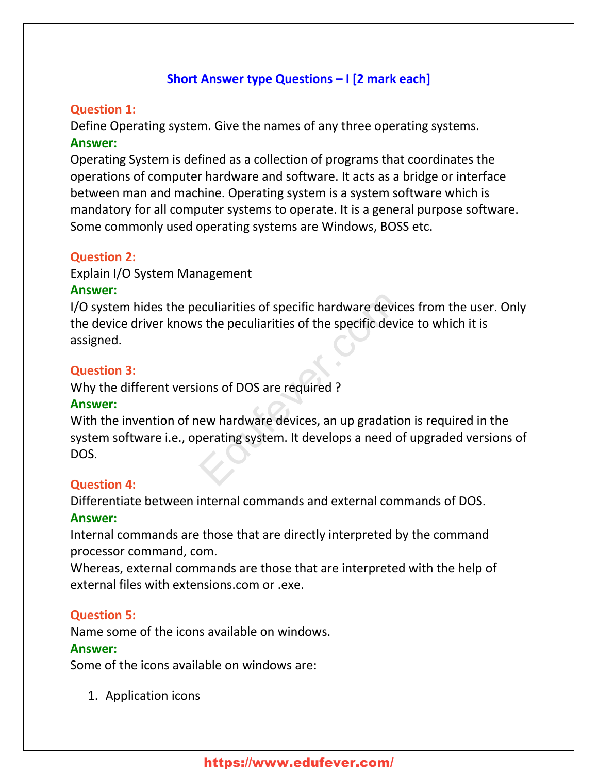# **Short Answer type Questions – I [2 mark each]**

#### **Question 1:**

Define Operating system. Give the names of any three operating systems. **Answer:**

Operating System is defined as a collection of programs that coordinates the operations of computer hardware and software. It acts as a bridge or interface between man and machine. Operating system is a system software which is mandatory for all computer systems to operate. It is a general purpose software. Some commonly used operating systems are Windows, BOSS etc.

#### **Question 2:**

Explain I/O System Management

### **Answer:**

I/O system hides the peculiarities of specific hardware devices from the user. Only the device driver knows the peculiarities of the specific device to which it is assigned.

### **Question 3:**

Why the different versions of DOS are required ?

#### **Answer:**

With the invention of new hardware devices, an up gradation is required in the system software i.e., operating system. It develops a need of upgraded versions of DOS. Explicit is of specific hardware device<br>
Some the peculiarities of the specific device<br>
Some some some the specific device<br>
Some some some that<br>
Some that the specific specific set of<br>
Some that the specific specific speci

# **Question 4:**

Differentiate between internal commands and external commands of DOS. **Answer:**

Internal commands are those that are directly interpreted by the command processor command, com.

Whereas, external commands are those that are interpreted with the help of external files with extensions.com or .exe.

# **Question 5:**

Name some of the icons available on windows.

#### **Answer:**

Some of the icons available on windows are:

1. Application icons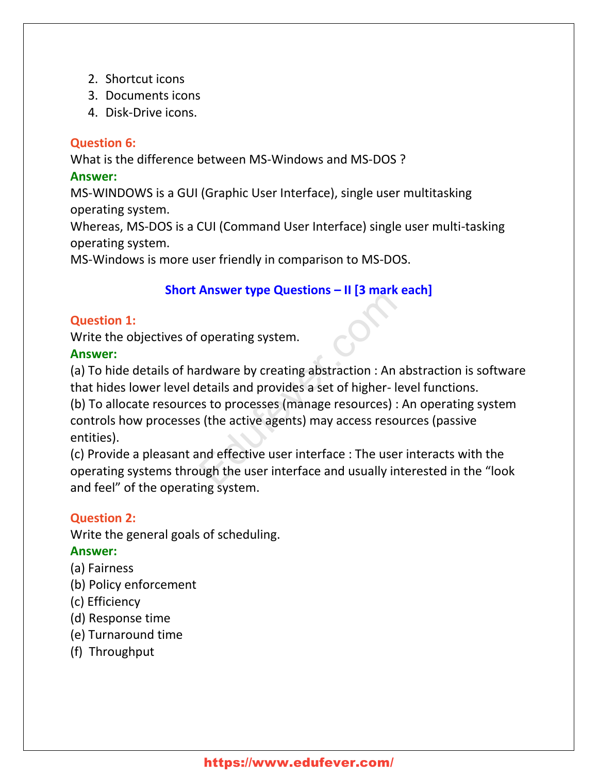- 2. Shortcut icons
- 3. Documents icons
- 4. Disk-Drive icons.

# **Question 6:**

What is the difference between MS-Windows and MS-DOS ?

### **Answer:**

MS-WINDOWS is a GUI (Graphic User Interface), single user multitasking operating system.

Whereas, MS-DOS is a CUI (Command User Interface) single user multi-tasking operating system.

MS-Windows is more user friendly in comparison to MS-DOS.

# **Short Answer type Questions – II [3 mark each]**

# **Question 1:**

Write the objectives of operating system.

# **Answer:**

(a) To hide details of hardware by creating abstraction : An abstraction is software that hides lower level details and provides a set of higher- level functions. (b) To allocate resources to processes (manage resources) : An operating system controls how processes (the active agents) may access resources (passive Allower type Questions and point to the contract operating system.<br>
In an ard ware by creating abstraction : An able tails and provides a set of higher-levers to processes (manage resources) : A sittle active agents) may a

entities).

(c) Provide a pleasant and effective user interface : The user interacts with the operating systems through the user interface and usually interested in the "look and feel" of the operating system.

# **Question 2:**

Write the general goals of scheduling.

# **Answer:**

- (a) Fairness
- (b) Policy enforcement
- (c) Efficiency
- (d) Response time
- (e) Turnaround time
- (f) Throughput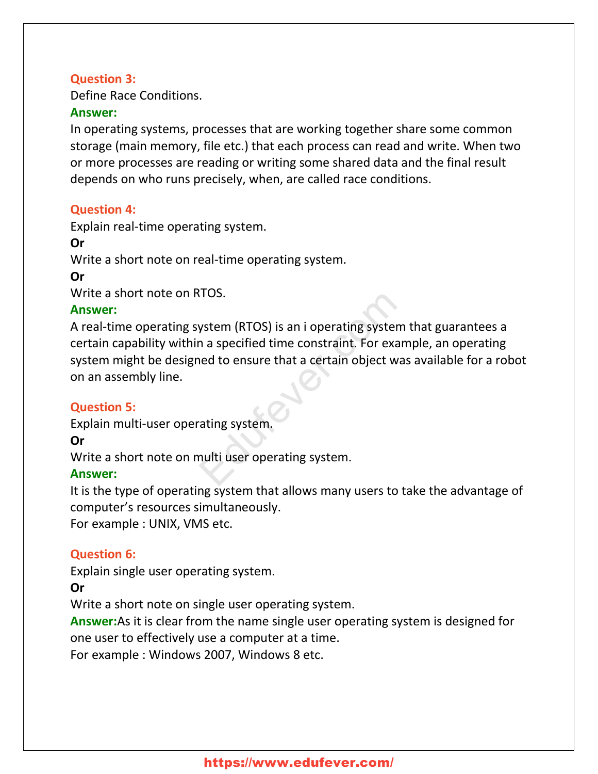### **Question 3:**

Define Race Conditions.

#### **Answer:**

In operating systems, processes that are working together share some common storage (main memory, file etc.) that each process can read and write. When two or more processes are reading or writing some shared data and the final result depends on who runs precisely, when, are called race conditions.

# **Question 4:**

Explain real-time operating system.

# **Or**

Write a short note on real-time operating system.

# **Or**

Write a short note on RTOS.

# **Answer:**

A real-time operating system (RTOS) is an i operating system that guarantees a certain capability within a specified time constraint. For example, an operating system might be designed to ensure that a certain object was available for a robot on an assembly line. SILUS.<br>
System (RTOS) is an i operating system<br>
in a specified time constraint. For examined to ensure that a certain object was<br>
ating system.<br>
And the system of the system of the system of the system of the system of the

# **Question 5:**

Explain multi-user operating system.

# **Or**

Write a short note on multi user operating system.

# **Answer:**

It is the type of operating system that allows many users to take the advantage of computer's resources simultaneously.

For example : UNIX, VMS etc.

# **Question 6:**

Explain single user operating system.

# **Or**

Write a short note on single user operating system.

**Answer:**As it is clear from the name single user operating system is designed for one user to effectively use a computer at a time.

For example : Windows 2007, Windows 8 etc.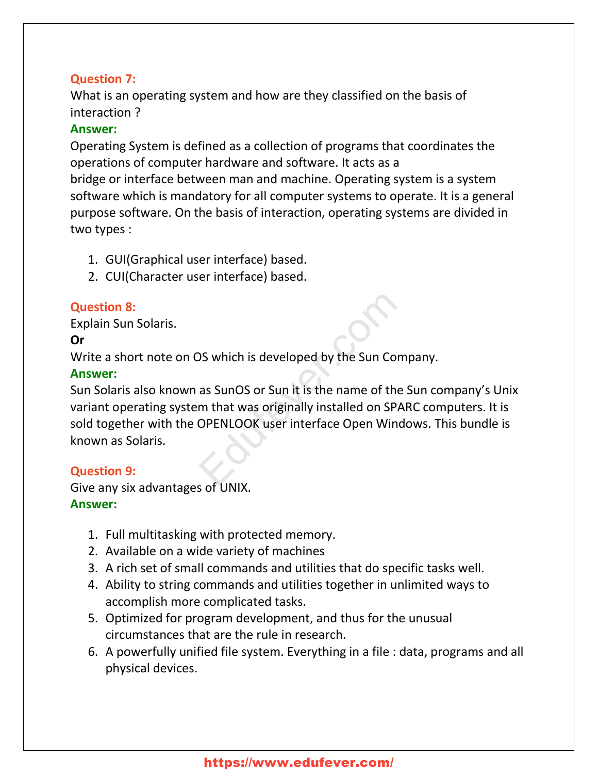# **Question 7:**

What is an operating system and how are they classified on the basis of interaction ?

### **Answer:**

Operating System is defined as a collection of programs that coordinates the operations of computer hardware and software. It acts as a bridge or interface between man and machine. Operating system is a system software which is mandatory for all computer systems to operate. It is a general purpose software. On the basis of interaction, operating systems are divided in two types :

- 1. GUI(Graphical user interface) based.
- 2. CUI(Character user interface) based.

# **Question 8:**

Explain Sun Solaris.

# **Or**

Write a short note on OS which is developed by the Sun Company.

# **Answer:**

Sun Solaris also known as SunOS or Sun it is the name of the Sun company's Unix variant operating system that was originally installed on SPARC computers. It is sold together with the OPENLOOK user interface Open Windows. This bundle is known as Solaris. S which is developed by the Sun Compas SunOS or Sun it is the name of the Sun that was originally installed on SPAR<br>OPENLOOK user interface Open Windo

# **Question 9:**

Give any six advantages of UNIX.

# **Answer:**

- 1. Full multitasking with protected memory.
- 2. Available on a wide variety of machines
- 3. A rich set of small commands and utilities that do specific tasks well.
- 4. Ability to string commands and utilities together in unlimited ways to accomplish more complicated tasks.
- 5. Optimized for program development, and thus for the unusual circumstances that are the rule in research.
- 6. A powerfully unified file system. Everything in a file : data, programs and all physical devices.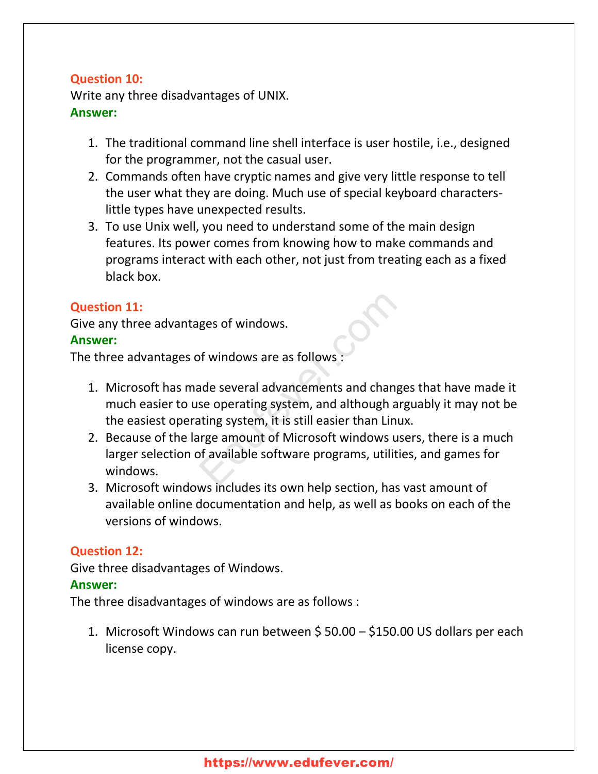# **Question 10:**

Write any three disadvantages of UNIX. **Answer:**

- 1. The traditional command line shell interface is user hostile, i.e., designed for the programmer, not the casual user.
- 2. Commands often have cryptic names and give very little response to tell the user what they are doing. Much use of special keyboard characterslittle types have unexpected results.
- 3. To use Unix well, you need to understand some of the main design features. Its power comes from knowing how to make commands and programs interact with each other, not just from treating each as a fixed black box.

### **Question 11:**

Give any three advantages of windows.

#### **Answer:**

The three advantages of windows are as follows

- 1. Microsoft has made several advancements and changes that have made it much easier to use operating system, and although arguably it may not be the easiest operating system, it is still easier than Linux. ges of windows.<br>
Summary and advancements and change<br>
Summary and although argumes are operating system, and although argumes are amount of Microsoft windows use<br>
Summary a summary and although argumes are amount of Micros
- 2. Because of the large amount of Microsoft windows users, there is a much larger selection of available software programs, utilities, and games for windows.
- 3. Microsoft windows includes its own help section, has vast amount of available online documentation and help, as well as books on each of the versions of windows.

# **Question 12:**

Give three disadvantages of Windows.

#### **Answer:**

The three disadvantages of windows are as follows :

1. Microsoft Windows can run between \$ 50.00 – \$150.00 US dollars per each license copy.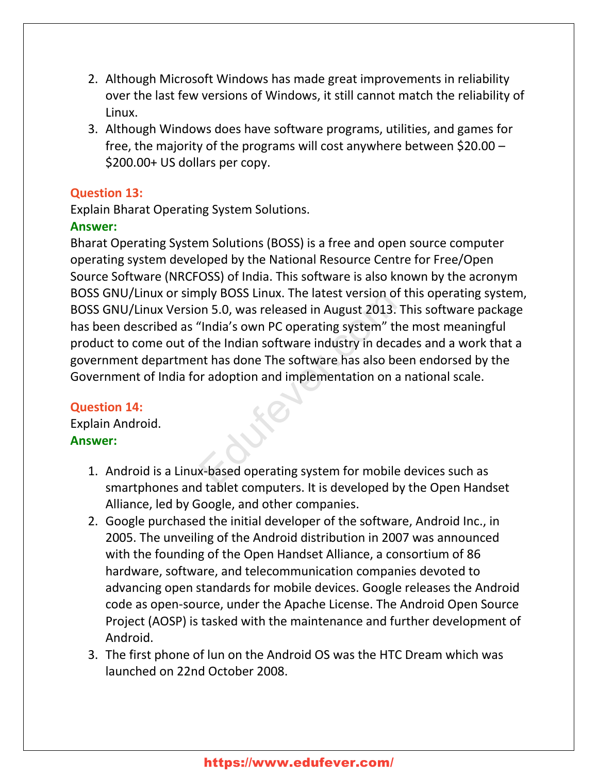- 2. Although Microsoft Windows has made great improvements in reliability over the last few versions of Windows, it still cannot match the reliability of Linux.
- 3. Although Windows does have software programs, utilities, and games for free, the majority of the programs will cost anywhere between \$20.00 – \$200.00+ US dollars per copy.

#### **Question 13:**

Explain Bharat Operating System Solutions.

# **Answer:**

Bharat Operating System Solutions (BOSS) is a free and open source computer operating system developed by the National Resource Centre for Free/Open Source Software (NRCFOSS) of India. This software is also known by the acronym BOSS GNU/Linux or simply BOSS Linux. The latest version of this operating system, BOSS GNU/Linux Version 5.0, was released in August 2013. This software package has been described as "India's own PC operating system" the most meaningful product to come out of the Indian software industry in decades and a work that a government department has done The software has also been endorsed by the Government of India for adoption and implementation on a national scale. ply BOSS LINUX. The latest version of the<br>
on 5.0, was released in August 2013. The<br>
"India's own PC operating system" the<br>
"the Indian software industry in decade<br>
ont has done The software has also been<br>
one and implemen

# **Question 14:**

Explain Android. **Answer:**

- 1. Android is a Linux-based operating system for mobile devices such as smartphones and tablet computers. It is developed by the Open Handset Alliance, led by Google, and other companies.
- 2. Google purchased the initial developer of the software, Android Inc., in 2005. The unveiling of the Android distribution in 2007 was announced with the founding of the Open Handset Alliance, a consortium of 86 hardware, software, and telecommunication companies devoted to advancing open standards for mobile devices. Google releases the Android code as open-source, under the Apache License. The Android Open Source Project (AOSP) is tasked with the maintenance and further development of Android.
- 3. The first phone of lun on the Android OS was the HTC Dream which was launched on 22nd October 2008.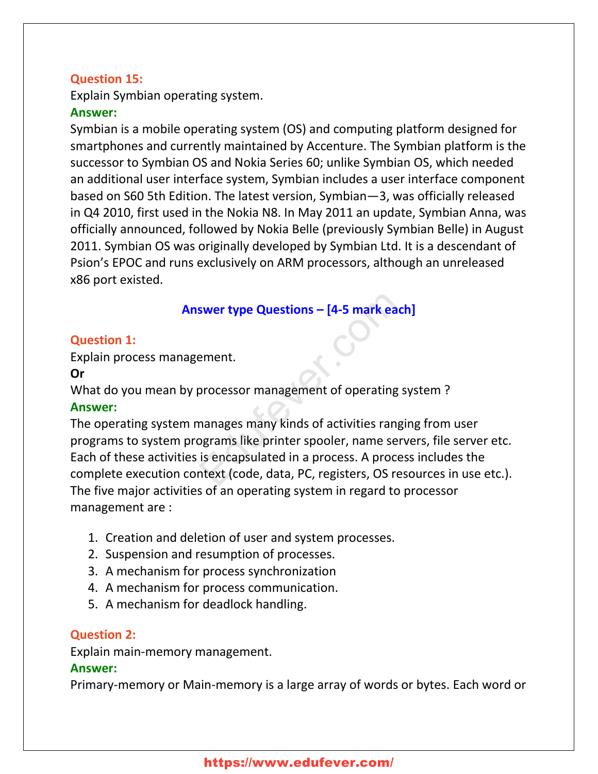# **Question 15:**

Explain Symbian operating system.

#### **Answer:**

Symbian is a mobile operating system (OS) and computing platform designed for smartphones and currently maintained by Accenture. The Symbian platform is the successor to Symbian OS and Nokia Series 60; unlike Symbian OS, which needed an additional user interface system, Symbian includes a user interface component based on S60 5th Edition. The latest version, Symbian—3, was officially released in Q4 2010, first used in the Nokia N8. In May 2011 an update, Symbian Anna, was officially announced, followed by Nokia Belle (previously Symbian Belle) in August 2011. Symbian OS was originally developed by Symbian Ltd. It is a descendant of Psion's EPOC and runs exclusively on ARM processors, although an unreleased x86 port existed.

# **Answer type Questions – [4-5 mark each]**

#### **Question 1:**

Explain process management.

#### **Or**

What do you mean by processor management of operating system ? **Answer:**

The operating system manages many kinds of activities ranging from user programs to system programs like printer spooler, name servers, file server etc. Each of these activities is encapsulated in a process. A process includes the complete execution context (code, data, PC, registers, OS resources in use etc.). The five major activities of an operating system in regard to processor management are : **Swer type Questions – [4-5 mark each**<br>
ement.<br>
processor management of operating sy<br>
manages many kinds of activities rangin<br>
pgrams like printer spooler, name serv<br>
is encapsulated in a process. A proces<br>
ntext (code, da

- 1. Creation and deletion of user and system processes.
- 2. Suspension and resumption of processes.
- 3. A mechanism for process synchronization
- 4. A mechanism for process communication.
- 5. A mechanism for deadlock handling.

#### **Question 2:**

Explain main-memory management.

#### **Answer:**

Primary-memory or Main-memory is a large array of words or bytes. Each word or